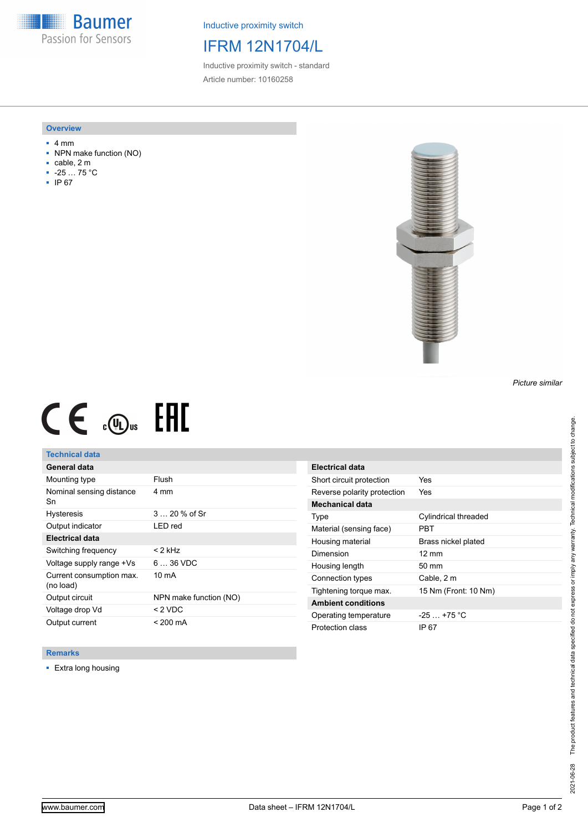**Baumer** Passion for Sensors

Inductive proximity switch

# IFRM 12N1704/L

Inductive proximity switch - standard Article number: 10160258

#### **Overview**

- 4 mm
- NPN make function (NO)
- cable, 2 m
- -25 … 75 °C
- IP 67



#### *Picture similar*

# $C \in \mathcal{L}_{\infty}$  FHI

## **Technical data**

| General data                          |                        |
|---------------------------------------|------------------------|
| Mounting type                         | Flush                  |
| Nominal sensing distance<br>Sn        | 4 mm                   |
| <b>Hysteresis</b>                     | $320%$ of Sr           |
| Output indicator                      | LED red                |
| <b>Electrical data</b>                |                        |
| Switching frequency                   | < 2 kHz                |
| Voltage supply range +Vs              | $636$ VDC              |
| Current consumption max.<br>(no load) | $10 \text{ mA}$        |
| Output circuit                        | NPN make function (NO) |
| Voltage drop Vd                       | $<$ 2 VDC              |
| Output current                        | $< 200 \text{ mA}$     |

| Electrical data             |                      |
|-----------------------------|----------------------|
| Short circuit protection    | Yes                  |
| Reverse polarity protection | Yes                  |
| Mechanical data             |                      |
| Type                        | Cylindrical threaded |
| Material (sensing face)     | PBT                  |
| Housing material            | Brass nickel plated  |
| Dimension                   | $12 \text{ mm}$      |
| Housing length              | $50 \text{ mm}$      |
| Connection types            | Cable, 2 m           |
| Tightening torque max.      | 15 Nm (Front: 10 Nm) |
| <b>Ambient conditions</b>   |                      |
| Operating temperature       | $-25 + 75$ °C        |
| Protection class            | IP 67                |

### **Remarks**

■ Extra long housing